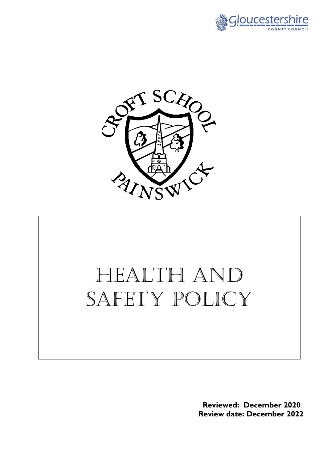



# Health and SAFETY POLICY

 **Reviewed: December 2020 Review date: December 2022**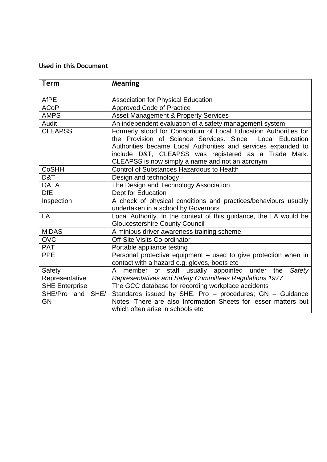# **Used in this Document**

| <b>Term</b>           | Meaning                                                           |  |
|-----------------------|-------------------------------------------------------------------|--|
| <b>AfPE</b>           | <b>Association for Physical Education</b>                         |  |
| <b>ACoP</b>           | Approved Code of Practice                                         |  |
| <b>AMPS</b>           | <b>Asset Management &amp; Property Services</b>                   |  |
| Audit                 | An independent evaluation of a safety management system           |  |
| <b>CLEAPSS</b>        | Formerly stood for Consortium of Local Education Authorities for  |  |
|                       | the Provision of Science Services. Since<br>Local Education       |  |
|                       | Authorities became Local Authorities and services expanded to     |  |
|                       | include D&T, CLEAPSS was registered as a Trade Mark.              |  |
|                       | CLEAPSS is now simply a name and not an acronym                   |  |
| <b>CoSHH</b>          | <b>Control of Substances Hazardous to Health</b>                  |  |
| D&T                   | Design and technology                                             |  |
| <b>DATA</b>           | The Design and Technology Association                             |  |
| <b>DfE</b>            | Dept for Education                                                |  |
| Inspection            | A check of physical conditions and practices/behaviours usually   |  |
|                       | undertaken in a school by Governors                               |  |
| LA                    | Local Authority. In the context of this guidance, the LA would be |  |
|                       | <b>Gloucestershire County Council</b>                             |  |
| <b>MiDAS</b>          | A minibus driver awareness training scheme                        |  |
| <b>OVC</b>            | Off-Site Visits Co-ordinator                                      |  |
| <b>PAT</b>            | Portable appliance testing                                        |  |
| <b>PPE</b>            | Personal protective equipment - used to give protection when in   |  |
|                       | contact with a hazard e.g. gloves, boots etc                      |  |
| Safety                | member of staff usually appointed<br>under<br>Safety<br>the<br>A  |  |
| Representative        | Representatives and Safety Committees Regulations 1977            |  |
| <b>SHE Enterprise</b> | The GCC database for recording workplace accidents                |  |
| SHE/Pro and SHE/      | Standards issued by SHE. Pro - procedures; GN - Guidance          |  |
| <b>GN</b>             | Notes. There are also Information Sheets for lesser matters but   |  |
|                       | which often arise in schools etc.                                 |  |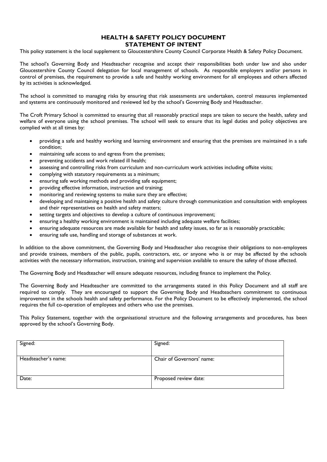# **HEALTH & SAFETY POLICY DOCUMENT STATEMENT OF INTENT**

This policy statement is the local supplement to Gloucestershire County Council Corporate Health & Safety Policy Document.

The school's Governing Body and Headteacher recognise and accept their responsibilities both under law and also under Gloucestershire County Council delegation for local management of schools. As responsible employers and/or persons in control of premises, the requirement to provide a safe and healthy working environment for all employees and others affected by its activities is acknowledged.

The school is committed to managing risks by ensuring that risk assessments are undertaken, control measures implemented and systems are continuously monitored and reviewed led by the school's Governing Body and Headteacher.

The Croft Primary School is committed to ensuring that all reasonably practical steps are taken to secure the health, safety and welfare of everyone using the school premises. The school will seek to ensure that its legal duties and policy objectives are complied with at all times by:

- providing a safe and healthy working and learning environment and ensuring that the premises are maintained in a safe condition;
- maintaining safe access to and egress from the premises;
- preventing accidents and work related ill health;
- assessing and controlling risks from curriculum and non-curriculum work activities including offsite visits;
- complying with statutory requirements as a minimum;
- ensuring safe working methods and providing safe equipment;
- providing effective information, instruction and training;
- monitoring and reviewing systems to make sure they are effective;
- developing and maintaining a positive health and safety culture through communication and consultation with employees and their representatives on health and safety matters;
- setting targets and objectives to develop a culture of continuous improvement;
- ensuring a healthy working environment is maintained including adequate welfare facilities;
- ensuring adequate resources are made available for health and safety issues, so far as is reasonably practicable;
- ensuring safe use, handling and storage of substances at work.

In addition to the above commitment, the Governing Body and Headteacher also recognise their obligations to non-employees and provide trainees, members of the public, pupils, contractors, etc, or anyone who is or may be affected by the schools activities with the necessary information, instruction, training and supervision available to ensure the safety of those affected.

The Governing Body and Headteacher will ensure adequate resources, including finance to implement the Policy.

The Governing Body and Headteacher are committed to the arrangements stated in this Policy Document and all staff are required to comply. They are encouraged to support the Governing Body and Headteachers commitment to continuous improvement in the schools health and safety performance. For the Policy Document to be effectively implemented, the school requires the full co-operation of employees and others who use the premises.

This Policy Statement, together with the organisational structure and the following arrangements and procedures, has been approved by the school's Governing Body.

| Signed:             | Signed:                   |
|---------------------|---------------------------|
| Headteacher's name: | Chair of Governors' name: |
| Date:               | Proposed review date:     |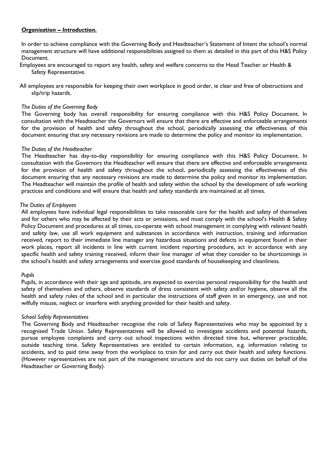# *Organisation – Introduction.*

In order to achieve compliance with the Governing Body and Headteacher's Statement of Intent the school's normal management structure will have additional responsibilities assigned to them as detailed in this part of this H&S Policy Document.

- Employees are encouraged to report any health, safety and welfare concerns to the Head Teacher or Health & Safety Representative.
- All employees are responsible for keeping their own workplace in good order, ie clear and free of obstructions and slip/trip hazards.

# *The Duties of the Governing Body*

The Governing body has overall responsibility for ensuring compliance with this H&S Policy Document. In consultation with the Headteacher the Governors will ensure that there are effective and enforceable arrangements for the provision of health and safety throughout the school, periodically assessing the effectiveness of this document ensuring that any necessary revisions are made to determine the policy and monitor its implementation.

## *The Duties of the Headteacher*

The Headteacher has day-to-day responsibility for ensuring compliance with this H&S Policy Document. In consultation with the Governors the Headteacher will ensure that there are effective and enforceable arrangements for the provision of health and safety throughout the school, periodically assessing the effectiveness of this document ensuring that any necessary revisions are made to determine the policy and monitor its implementation. The Headteacher will maintain the profile of health and safety within the school by the development of safe working practices and conditions and will ensure that health and safety standards are maintained at all times.

#### *The Duties of Employees*

All employees have individual legal responsibilities to take reasonable care for the health and safety of themselves and for others who may be affected by their acts or omissions, and must comply with the school's Health & Safety Policy Document and procedures at all times, co-operate with school management in complying with relevant health and safety law, use all work equipment and substances in accordance with instruction, training and information received, report to their immediate line manager any hazardous situations and defects in equipment found in their work places, report all incidents in line with current incident reporting procedure, act in accordance with any specific health and safety training received, inform their line manager of what they consider to be shortcomings in the school's health and safety arrangements and exercise good standards of housekeeping and cleanliness.

## *Pupils*

Pupils, in accordance with their age and aptitude, are expected to exercise personal responsibility for the health and safety of themselves and others, observe standards of dress consistent with safety and/or hygiene, observe all the health and safety rules of the school and in particular the instructions of staff given in an emergency, use and not wilfully misuse, neglect or interfere with anything provided for their health and safety.

## *School Safety Representatives*

The Governing Body and Headteacher recognise the role of Safety Representatives who may be appointed by a recognised Trade Union. Safety Representatives will be allowed to investigate accidents and potential hazards, pursue employee complaints and carry out school inspections within directed time but, wherever practicable, outside teaching time. Safety Representatives are entitled to certain information, e.g. information relating to accidents, and to paid time away from the workplace to train for and carry out their health and safety functions. (However representatives are not part of the management structure and do not carry out duties on behalf of the Headteacher or Governing Body).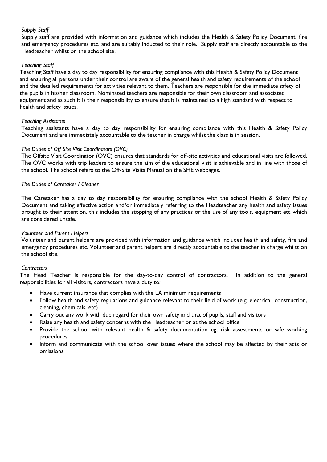# *Supply Staff*

Supply staff are provided with information and guidance which includes the Health & Safety Policy Document, fire and emergency procedures etc. and are suitably inducted to their role. Supply staff are directly accountable to the Headteacher whilst on the school site.

# *Teaching Staff*

Teaching Staff have a day to day responsibility for ensuring compliance with this Health & Safety Policy Document and ensuring all persons under their control are aware of the general health and safety requirements of the school and the detailed requirements for activities relevant to them. Teachers are responsible for the immediate safety of the pupils in his/her classroom. Nominated teachers are responsible for their own classroom and associated equipment and as such it is their responsibility to ensure that it is maintained to a high standard with respect to health and safety issues.

## *Teaching Assistants*

Teaching assistants have a day to day responsibility for ensuring compliance with this Health & Safety Policy Document and are immediately accountable to the teacher in charge whilst the class is in session.

# *The Duties of Off Site Visit Coordinators (OVC)*

The Offsite Visit Coordinator (OVC) ensures that standards for off-site activities and educational visits are followed. The OVC works with trip leaders to ensure the aim of the educational visit is achievable and in line with those of the school. The school refers to the Off-Site Visits Manual on the SHE webpages.

# *The Duties of Caretaker / Cleaner*

The Caretaker has a day to day responsibility for ensuring compliance with the school Health & Safety Policy Document and taking effective action and/or immediately referring to the Headteacher any health and safety issues brought to their attention, this includes the stopping of any practices or the use of any tools, equipment etc which are considered unsafe.

## *Volunteer and Parent Helpers*

Volunteer and parent helpers are provided with information and guidance which includes health and safety, fire and emergency procedures etc. Volunteer and parent helpers are directly accountable to the teacher in charge whilst on the school site.

## *Contractors*

The Head Teacher is responsible for the day-to-day control of contractors. In addition to the general responsibilities for all visitors, contractors have a duty to:

- Have current insurance that complies with the LA minimum requirements
- Follow health and safety regulations and guidance relevant to their field of work (e.g. electrical, construction, cleaning, chemicals, etc)
- Carry out any work with due regard for their own safety and that of pupils, staff and visitors
- Raise any health and safety concerns with the Headteacher or at the school office
- Provide the school with relevant health & safety documentation eg; risk assessments or safe working procedures
- Inform and communicate with the school over issues where the school may be affected by their acts or omissions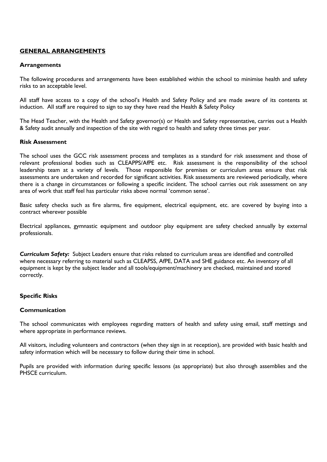# **GENERAL ARRANGEMENTS**

## **Arrangements**

The following procedures and arrangements have been established within the school to minimise health and safety risks to an acceptable level.

All staff have access to a copy of the school's Health and Safety Policy and are made aware of its contents at induction. All staff are required to sign to say they have read the Health & Safety Policy

The Head Teacher, with the Health and Safety governor(s) or Health and Safety representative, carries out a Health & Safety audit annually and inspection of the site with regard to health and safety three times per year.

## **Risk Assessment**

The school uses the GCC risk assessment process and templates as a standard for risk assessment and those of relevant professional bodies such as CLEAPPS/AfPE etc. Risk assessment is the responsibility of the school leadership team at a variety of levels. Those responsible for premises or curriculum areas ensure that risk assessments are undertaken and recorded for significant activities. Risk assessments are reviewed periodically, where there is a change in circumstances or following a specific incident. The school carries out risk assessment on any area of work that staff feel has particular risks above normal 'common sense'.

Basic safety checks such as fire alarms, fire equipment, electrical equipment, etc. are covered by buying into a contract wherever possible

Electrical appliances, gymnastic equipment and outdoor play equipment are safety checked annually by external professionals.

*Curriculum Safety:* Subject Leaders ensure that risks related to curriculum areas are identified and controlled where necessary referring to material such as CLEAPSS, AfPE, DATA and SHE guidance etc. An inventory of all equipment is kept by the subject leader and all tools/equipment/machinery are checked, maintained and stored correctly.

## **Specific Risks**

## **Communication**

The school communicates with employees regarding matters of health and safety using email, staff mettings and where appropriate in performance reviews.

All visitors, including volunteers and contractors (when they sign in at reception), are provided with basic health and safety information which will be necessary to follow during their time in school.

Pupils are provided with information during specific lessons (as appropriate) but also through assemblies and the PHSCE curriculum.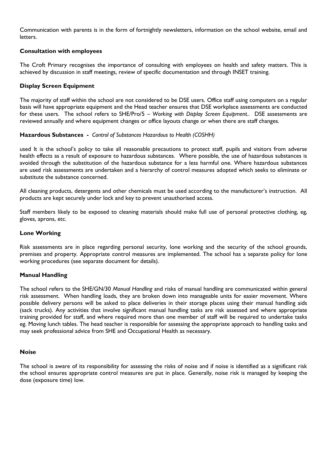Communication with parents is in the form of fortnightly newsletters, information on the school website, email and letters.

# **Consultation with employees**

The Croft Primary recognises the importance of consulting with employees on health and safety matters. This is achieved by discussion in staff meetings, review of specific documentation and through INSET training.

# **Display Screen Equipment**

The majority of staff within the school are not considered to be DSE users. Office staff using computers on a regular basis will have appropriate equipment and the Head teacher ensures that DSE workplace assessments are conducted for these users. The school refers to SHE/Pro/5 – *Working with Display Screen Equipment.*. DSE assessments are reviewed annually and where equipment changes or office layouts change or when there are staff changes.

# **Hazardous Substances -** *Control of Substances Hazardous to Health (COSHH)*

used It is the school's policy to take all reasonable precautions to protect staff, pupils and visitors from adverse health effects as a result of exposure to hazardous substances. Where possible, the use of hazardous substances is avoided through the substitution of the hazardous substance for a less harmful one. Where hazardous substances are used risk assessments are undertaken and a hierarchy of control measures adopted which seeks to eliminate or substitute the substance concerned.

All cleaning products, detergents and other chemicals must be used according to the manufacturer's instruction. All products are kept securely under lock and key to prevent unauthorised access.

Staff members likely to be exposed to cleaning materials should make full use of personal protective clothing, eg, gloves, aprons, etc.

## **Lone Working**

Risk assessments are in place regarding personal security, lone working and the security of the school grounds, premises and property. Appropriate control measures are implemented. The school has a separate policy for lone working procedures (see separate document for details).

## **Manual Handling**

The school refers to the SHE/GN/30 *Manual Handling* and risks of manual handling are communicated within general risk assessment. When handling loads, they are broken down into manageable units for easier movement. Where possible delivery persons will be asked to place deliveries in their storage places using their manual handling aids (sack trucks). Any activities that involve significant manual handling tasks are risk assessed and where appropriate training provided for staff, and where required more than one member of staff will be required to undertake tasks eg. Moving lunch tables. The head teacher is responsible for assessing the appropriate approach to handling tasks and may seek professional advice from SHE and Occupational Health as necessary.

## **Noise**

The school is aware of its responsibility for assessing the risks of noise and if noise is identified as a significant risk the school ensures appropriate control measures are put in place. Generally, noise risk is managed by keeping the dose (exposure time) low.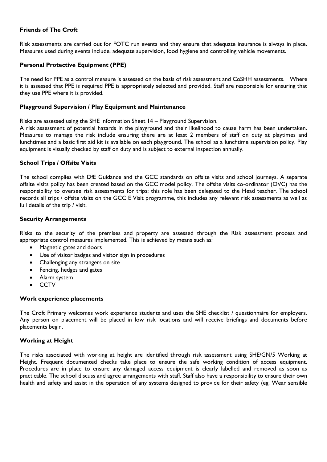# **Friends of The Croft**

Risk assessments are carried out for FOTC run events and they ensure that adequate insurance is always in place. Measures used during events include, adequate supervision, food hygiene and controlling vehicle movements.

# **Personal Protective Equipment (PPE)**

The need for PPE as a control measure is assessed on the basis of risk assessment and CoSHH assessments. Where it is assessed that PPE is required PPE is appropriately selected and provided. Staff are responsible for ensuring that they use PPE where it is provided.

## **Playground Supervision / Play Equipment and Maintenance**

Risks are assessed using the SHE Information Sheet 14 – Playground Supervision.

A risk assessment of potential hazards in the playground and their likelihood to cause harm has been undertaken. Measures to manage the risk include ensuring there are at least 2 members of staff on duty at playtimes and lunchtimes and a basic first aid kit is available on each playground. The school as a lunchtime supervision policy. Play equipment is visually checked by staff on duty and is subject to external inspection annually.

## **School Trips / Offsite Visits**

The school complies with DfE Guidance and the GCC standards on offsite visits and school journeys. A separate offsite visits policy has been created based on the GCC model policy. The offsite visits co-ordinator (OVC) has the responsibility to oversee risk assessments for trips; this role has been delegated to the Head teacher. The school records all trips / offsite visits on the GCC E Visit programme, this includes any relevant risk assessments as well as full details of the trip / visit.

#### **Security Arrangements**

Risks to the security of the premises and property are assessed through the Risk assessment process and appropriate control measures implemented. This is achieved by means such as:

- Magnetic gates and doors
- Use of visitor badges and visitor sign in procedures
- Challenging any strangers on site
- Fencing, hedges and gates
- Alarm system
- **CCTV**

## **Work experience placements**

The Croft Primary welcomes work experience students and uses the SHE checklist / questionnaire for employers. Any person on placement will be placed in low risk locations and will receive briefings and documents before placements begin.

## **Working at Height**

The risks associated with working at height are identified through risk assessment using SHE/GN/5 Working at Height. Frequent documented checks take place to ensure the safe working condition of access equipment. Procedures are in place to ensure any damaged access equipment is clearly labelled and removed as soon as practicable. The school discuss and agree arrangements with staff. Staff also have a responsibility to ensure their own health and safety and assist in the operation of any systems designed to provide for their safety (eg. Wear sensible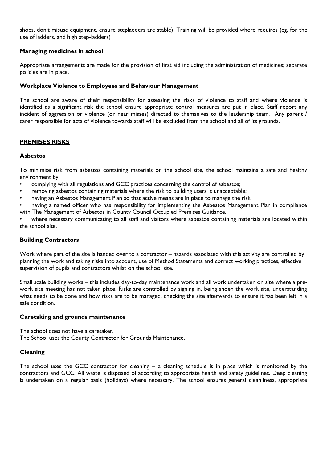shoes, don't misuse equipment, ensure stepladders are stable). Training will be provided where requires (eg, for the use of ladders, and high step-ladders)

# **Managing medicines in school**

Appropriate arrangements are made for the provision of first aid including the administration of medicines; separate policies are in place.

# **Workplace Violence to Employees and Behaviour Management**

The school are aware of their responsibility for assessing the risks of violence to staff and where violence is identified as a significant risk the school ensure appropriate control measures are put in place. Staff report any incident of aggression or violence (or near misses) directed to themselves to the leadership team. Any parent / carer responsible for acts of violence towards staff will be excluded from the school and all of its grounds.

# **PREMISES RISKS**

# **Asbestos**

To minimise risk from asbestos containing materials on the school site, the school maintains a safe and healthy environment by:

- complying with all regulations and GCC practices concerning the control of asbestos;
- removing asbestos containing materials where the risk to building users is unacceptable;
- having an Asbestos Management Plan so that active means are in place to manage the risk
- having a named officer who has responsibility for implementing the Asbestos Management Plan in compliance with The Management of Asbestos in County Council Occupied Premises Guidance.

where necessary communicating to all staff and visitors where asbestos containing materials are located within the school site.

## **Building Contractors**

Work where part of the site is handed over to a contractor – hazards associated with this activity are controlled by planning the work and taking risks into account, use of Method Statements and correct working practices, effective supervision of pupils and contractors whilst on the school site.

Small scale building works – this includes day-to-day maintenance work and all work undertaken on site where a prework site meeting has not taken place. Risks are controlled by signing in, being shoen the work site, understanding what needs to be done and how risks are to be managed, checking the site afterwards to ensure it has been left in a safe condition.

## **Caretaking and grounds maintenance**

The school does not have a caretaker. The School uses the County Contractor for Grounds Maintenance.

# **Cleaning**

The school uses the GCC contractor for cleaning – a cleaning schedule is in place which is monitored by the contractors and GCC. All waste is disposed of according to appropriate health and safety guidelines. Deep cleaning is undertaken on a regular basis (holidays) where necessary. The school ensures general cleanliness, appropriate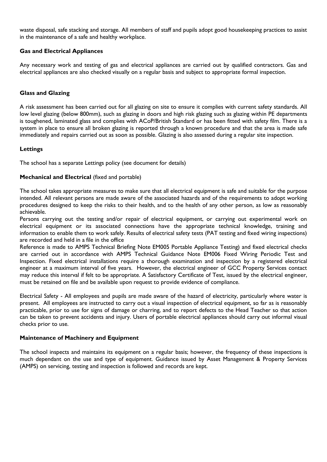waste disposal, safe stacking and storage. All members of staff and pupils adopt good housekeeping practices to assist in the maintenance of a safe and healthy workplace.

# **Gas and Electrical Appliances**

Any necessary work and testing of gas and electrical appliances are carried out by qualified contractors. Gas and electrical appliances are also checked visually on a regular basis and subject to appropriate formal inspection.

# **Glass and Glazing**

A risk assessment has been carried out for all glazing on site to ensure it complies with current safety standards. All low level glazing (below 800mm), such as glazing in doors and high risk glazing such as glazing within PE departments is toughened, laminated glass and complies with ACoP/British Standard or has been fitted with safety film. There is a system in place to ensure all broken glazing is reported through a known procedure and that the area is made safe immediately and repairs carried out as soon as possible. Glazing is also assessed during a regular site inspection.

# **Lettings**

The school has a separate Lettings policy (see document for details)

# **Mechanical and Electrical** (fixed and portable)

The school takes appropriate measures to make sure that all electrical equipment is safe and suitable for the purpose intended. All relevant persons are made aware of the associated hazards and of the requirements to adopt working procedures designed to keep the risks to their health, and to the health of any other person, as low as reasonably achievable.

Persons carrying out the testing and/or repair of electrical equipment, or carrying out experimental work on electrical equipment or its associated connections have the appropriate technical knowledge, training and information to enable them to work safely. Results of electrical safety tests (PAT testing and fixed wiring inspections) are recorded and held in a file in the office

Reference is made to AMPS Technical Briefing Note EM005 Portable Appliance Testing) and fixed electrical checks are carried out in accordance with AMPS Technical Guidance Note EM006 Fixed Wiring Periodic Test and Inspection. Fixed electrical installations require a thorough examination and inspection by a registered electrical engineer at a maximum interval of five years. However, the electrical engineer of GCC Property Services contact may reduce this interval if felt to be appropriate. A Satisfactory Certificate of Test, issued by the electrical engineer, must be retained on file and be available upon request to provide evidence of compliance.

Electrical Safety - All employees and pupils are made aware of the hazard of electricity, particularly where water is present. All employees are instructed to carry out a visual inspection of electrical equipment, so far as is reasonably practicable, prior to use for signs of damage or charring, and to report defects to the Head Teacher so that action can be taken to prevent accidents and injury. Users of portable electrical appliances should carry out informal visual checks prior to use.

## **Maintenance of Machinery and Equipment**

The school inspects and maintains its equipment on a regular basis; however, the frequency of these inspections is much dependant on the use and type of equipment. Guidance issued by Asset Management & Property Services (AMPS) on servicing, testing and inspection is followed and records are kept.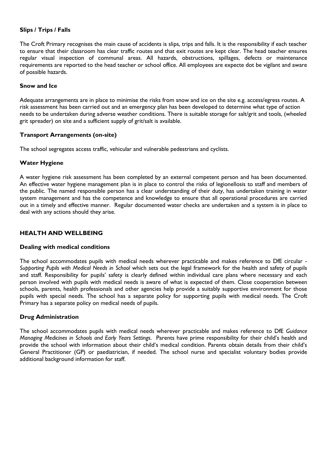# **Slips / Trips / Falls**

The Croft Primary recognises the main cause of accidents is slips, trips and falls. It is the responsibility if each teacher to ensure that their classroom has clear traffic routes and that exit routes are kept clear. The head teacher ensures regular visual inspection of communal areas. All hazards, obstructions, spillages, defects or maintenance requirements are reported to the head teacher or school office. All employees are expecte dot be vigilant and aware of possible hazards.

## **Snow and Ice**

Adequate arrangements are in place to minimise the risks from snow and ice on the site e.g. access/egress routes. A risk assessment has been carried out and an emergency plan has been developed to determine what type of action needs to be undertaken during adverse weather conditions. There is suitable storage for salt/grit and tools, (wheeled grit spreader) on site and a sufficient supply of grit/salt is available.

# **Transport Arrangements (on-site)**

The school segregates access traffic, vehicular and vulnerable pedestrians and cyclists.

# **Water Hygiene**

A water hygiene risk assessment has been completed by an external competent person and has been documented. An effective water hygiene management plan is in place to control the risks of legionellosis to staff and members of the public. The named responsible person has a clear understanding of their duty, has undertaken training in water system management and has the competence and knowledge to ensure that all operational procedures are carried out in a timely and effective manner. Regular documented water checks are undertaken and a system is in place to deal with any actions should they arise.

# **HEALTH AND WELLBEING**

## **Dealing with medical conditions**

The school accommodates pupils with medical needs wherever practicable and makes reference to DfE circular - *Supporting Pupils with Medical Needs in School* which sets out the legal framework for the health and safety of pupils and staff. Responsibility for pupils' safety is clearly defined within individual care plans where necessary and each person involved with pupils with medical needs is aware of what is expected of them. Close cooperation between schools, parents, health professionals and other agencies help provide a suitably supportive environment for those pupils with special needs. The school has a separate policy for supporting pupils with medical needs. The Croft Primary has a separate policy on medical needs of pupils.

# **Drug Administration**

The school accommodates pupils with medical needs wherever practicable and makes reference to DfE *Guidance Managing Medicines in Schools and Early Years Settings*. Parents have prime responsibility for their child's health and provide the school with information about their child's medical condition. Parents obtain details from their child's General Practitioner (GP) or paediatrician, if needed. The school nurse and specialist voluntary bodies provide additional background information for staff.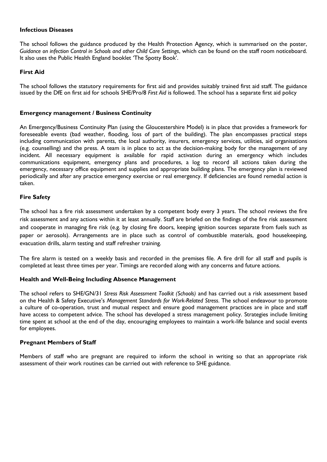# **Infectious Diseases**

The school follows the guidance produced by the Health Protection Agency, which is summarised on the poster, *Guidance on infection Control in Schools and other Child Care Settings*, which can be found on the staff room noticeboard. It also uses the Public Health England booklet 'The Spotty Book'.

# **First Aid**

The school follows the statutory requirements for first aid and provides suitably trained first aid staff. The guidance issued by the DfE on first aid for schools SHE/Pro/8 *First Aid* is followed. The school has a separate first aid policy

## **Emergency management / Business Continuity**

An Emergency/Business Continuity Plan (using the Gloucestershire Model) is in place that provides a framework for foreseeable events (bad weather, flooding, loss of part of the building). The plan encompasses practical steps including communication with parents, the local authority, insurers, emergency services, utilities, aid organisations (e.g. counselling) and the press. A team is in place to act as the decision-making body for the management of any incident. All necessary equipment is available for rapid activation during an emergency which includes communications equipment, emergency plans and procedures, a log to record all actions taken during the emergency, necessary office equipment and supplies and appropriate building plans. The emergency plan is reviewed periodically and after any practice emergency exercise or real emergency. If deficiencies are found remedial action is taken.

# **Fire Safety**

The school has a fire risk assessment undertaken by a competent body every 3 years. The school reviews the fire risk assessment and any actions within it at least annually. Staff are briefed on the findings of the fire risk assessment and cooperate in managing fire risk (e.g. by closing fire doors, keeping ignition sources separate from fuels such as paper or aerosols). Arrangements are in place such as control of combustible materials, good housekeeping, evacuation drills, alarm testing and staff refresher training.

The fire alarm is tested on a weekly basis and recorded in the premises file. A fire drill for all staff and pupils is completed at least three times per year. Timings are recorded along with any concerns and future actions.

## **Health and Well-Being Including Absence Management**

The school refers to SHE/GN/31 *Stress Risk Assessment Toolkit (Schools)* and has carried out a risk assessment based on the Health & Safety Executive's *Management Standards for Work-Related Stress*. The school endeavour to promote a culture of co-operation, trust and mutual respect and ensure good management practices are in place and staff have access to competent advice. The school has developed a stress management policy. Strategies include limiting time spent at school at the end of the day, encouraging employees to maintain a work-life balance and social events for employees.

## **Pregnant Members of Staff**

Members of staff who are pregnant are required to inform the school in writing so that an appropriate risk assessment of their work routines can be carried out with reference to SHE guidance.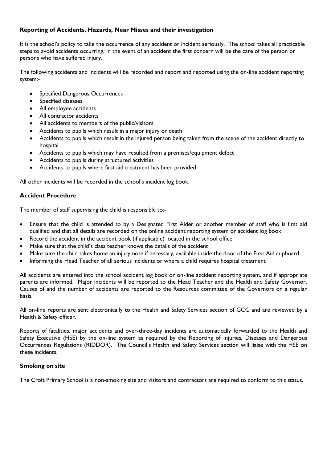# **Reporting of Accidents, Hazards, Near Misses and their investigation**

It is the school's policy to take the occurrence of any accident or incident seriously. The school takes all practicable steps to avoid accidents occurring. In the event of an accident the first concern will be the care of the person or persons who have suffered injury.

The following accidents and incidents will be recorded and report and reported using the on-line accident reporting system:-

- Specified Dangerous Occurrences
- Specified diseases
- All employee accidents
- All contractor accidents
- All accidents to members of the public/visitors
- Accidents to pupils which result in a major injury or death
- Accidents to pupils which result in the injured person being taken from the scene of the accident directly to hospital
- Accidents to pupils which may have resulted from a premises/equipment defect
- Accidents to pupils during structured activities
- Accidents to pupils where first aid treatment has been provided

All other incidents will be recorded in the school's incident log book.

# **Accident Procedure**

The member of staff supervising the child is responsible to:-

- Ensure that the child is attended to by a Designated First Aider or another member of staff who is first aid qualified and that all details are recorded on the online accident reporting system or accident log book
- Record the accident in the accident book (if applicable) located in the school office
- Make sure that the child's class teacher knows the details of the accident
- Make sure the child takes home an injury note if necessary, available inside the door of the First Aid cupboard
- Informing the Head Teacher of all serious incidents or where a child requires hospital treatment

All accidents are entered into the school accident log book or on-line accident reporting system, and if appropriate parents are informed. Major incidents will be reported to the Head Teacher and the Health and Safety Governor. Causes of and the number of accidents are reported to the Resources committee of the Governors on a regular basis.

All on-line reports are sent electronically to the Health and Safety Services section of GCC and are reviewed by a Health & Safety officer.

Reports of fatalities, major accidents and over-three-day incidents are automatically forwarded to the Health and Safety Executive (HSE) by the on-line system as required by the Reporting of Injuries, Diseases and Dangerous Occurrences Regulations (RIDDOR). The Council's Health and Safety Services section will liaise with the HSE on these incidents.

## **Smoking on site**

The Croft Primary School is a non-smoking site and visitors and contractors are required to conform to this status.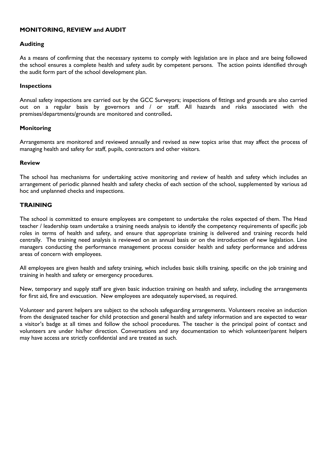# **MONITORING, REVIEW and AUDIT**

# **Auditing**

As a means of confirming that the necessary systems to comply with legislation are in place and are being followed the school ensures a complete health and safety audit by competent persons. The action points identified through the audit form part of the school development plan.

## **Inspections**

Annual safety inspections are carried out by the GCC Surveyors; inspections of fittings and grounds are also carried out on a regular basis by governors and / or staff. All hazards and risks associated with the premises/departments/grounds are monitored and controlled**.**

# **Monitoring**

Arrangements are monitored and reviewed annually and revised as new topics arise that may affect the process of managing health and safety for staff, pupils, contractors and other visitors.

## **Review**

The school has mechanisms for undertaking active monitoring and review of health and safety which includes an arrangement of periodic planned health and safety checks of each section of the school, supplemented by various ad hoc and unplanned checks and inspections.

# **TRAINING**

The school is committed to ensure employees are competent to undertake the roles expected of them. The Head teacher / leadership team undertake a training needs analysis to identify the competency requirements of specific job roles in terms of health and safety, and ensure that appropriate training is delivered and training records held centrally. The training need analysis is reviewed on an annual basis or on the introduction of new legislation. Line managers conducting the performance management process consider health and safety performance and address areas of concern with employees.

All employees are given health and safety training, which includes basic skills training, specific on the job training and training in health and safety or emergency procedures.

New, temporary and supply staff are given basic induction training on health and safety, including the arrangements for first aid, fire and evacuation. New employees are adequately supervised, as required.

Volunteer and parent helpers are subject to the schools safeguarding arrangements. Volunteers receive an induction from the designated teacher for child protection and general health and safety information and are expected to wear a visitor's badge at all times and follow the school procedures. The teacher is the principal point of contact and volunteers are under his/her direction. Conversations and any documentation to which volunteer/parent helpers may have access are strictly confidential and are treated as such.